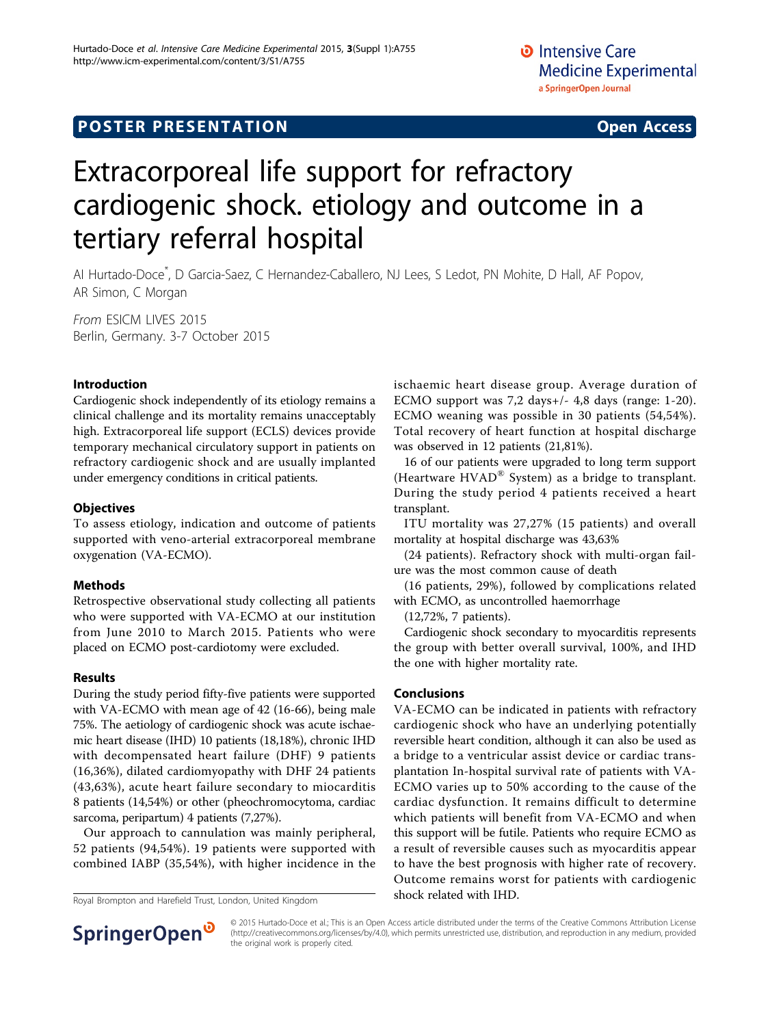## **POSTER PRESENTATION CONSUMING THE SERVICE SERVICE SERVICES**

# Extracorporeal life support for refractory cardiogenic shock. etiology and outcome in a tertiary referral hospital

AI Hurtado-Doce\* , D Garcia-Saez, C Hernandez-Caballero, NJ Lees, S Ledot, PN Mohite, D Hall, AF Popov, AR Simon, C Morgan

From ESICM LIVES 2015 Berlin, Germany. 3-7 October 2015

#### Introduction

Cardiogenic shock independently of its etiology remains a clinical challenge and its mortality remains unacceptably high. Extracorporeal life support (ECLS) devices provide temporary mechanical circulatory support in patients on refractory cardiogenic shock and are usually implanted under emergency conditions in critical patients.

#### **Objectives**

To assess etiology, indication and outcome of patients supported with veno-arterial extracorporeal membrane oxygenation (VA-ECMO).

#### Methods

Retrospective observational study collecting all patients who were supported with VA-ECMO at our institution from June 2010 to March 2015. Patients who were placed on ECMO post-cardiotomy were excluded.

#### Results

During the study period fifty-five patients were supported with VA-ECMO with mean age of 42 (16-66), being male 75%. The aetiology of cardiogenic shock was acute ischaemic heart disease (IHD) 10 patients (18,18%), chronic IHD with decompensated heart failure (DHF) 9 patients (16,36%), dilated cardiomyopathy with DHF 24 patients (43,63%), acute heart failure secondary to miocarditis 8 patients (14,54%) or other (pheochromocytoma, cardiac sarcoma, peripartum) 4 patients (7,27%).

Our approach to cannulation was mainly peripheral, 52 patients (94,54%). 19 patients were supported with combined IABP (35,54%), with higher incidence in the

Royal Brompton and Harefield Trust, London, United Kingdom **Shock related with IHD.** 



16 of our patients were upgraded to long term support (Heartware  $HVAD^{\circledR}$  System) as a bridge to transplant. During the study period 4 patients received a heart transplant.

ITU mortality was 27,27% (15 patients) and overall mortality at hospital discharge was 43,63%

(24 patients). Refractory shock with multi-organ failure was the most common cause of death

(16 patients, 29%), followed by complications related with ECMO, as uncontrolled haemorrhage

(12,72%, 7 patients).

Cardiogenic shock secondary to myocarditis represents the group with better overall survival, 100%, and IHD the one with higher mortality rate.

#### Conclusions

VA-ECMO can be indicated in patients with refractory cardiogenic shock who have an underlying potentially reversible heart condition, although it can also be used as a bridge to a ventricular assist device or cardiac transplantation In-hospital survival rate of patients with VA-ECMO varies up to 50% according to the cause of the cardiac dysfunction. It remains difficult to determine which patients will benefit from VA-ECMO and when this support will be futile. Patients who require ECMO as a result of reversible causes such as myocarditis appear to have the best prognosis with higher rate of recovery. Outcome remains worst for patients with cardiogenic



© 2015 Hurtado-Doce et al.; This is an Open Access article distributed under the terms of the Creative Commons Attribution License [\(http://creativecommons.org/licenses/by/4.0](http://creativecommons.org/licenses/by/4.0)), which permits unrestricted use, distribution, and reproduction in any medium, provided the original work is properly cited.